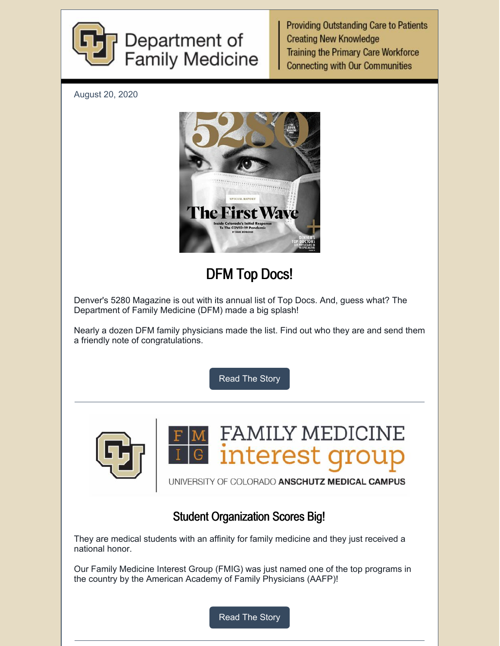

**Providing Outstanding Care to Patients Creating New Knowledge Training the Primary Care Workforce Connecting with Our Communities** 

August 20, 2020



# DFM Top Docs!

Denver's 5280 Magazine is out with its annual list of Top Docs. And, guess what? The Department of Family Medicine (DFM) made a big splash!

Nearly a dozen DFM family physicians made the list. Find out who they are and send them a friendly note of congratulations.

[Read](https://medschool.cuanschutz.edu/family-medicine/about/news/communication-hub/dfm-top-docs-2020) The Story





UNIVERSITY OF COLORADO ANSCHUTZ MEDICAL CAMPUS

#### Student Organization Scores Big!

They are medical students with an affinity for family medicine and they just received a national honor.

Our Family Medicine Interest Group (FMIG) was just named one of the top programs in the country by the American Academy of Family Physicians (AAFP)!

[Read](https://medschool.cuanschutz.edu/family-medicine/about/news/communication-hub/big-award!) The Story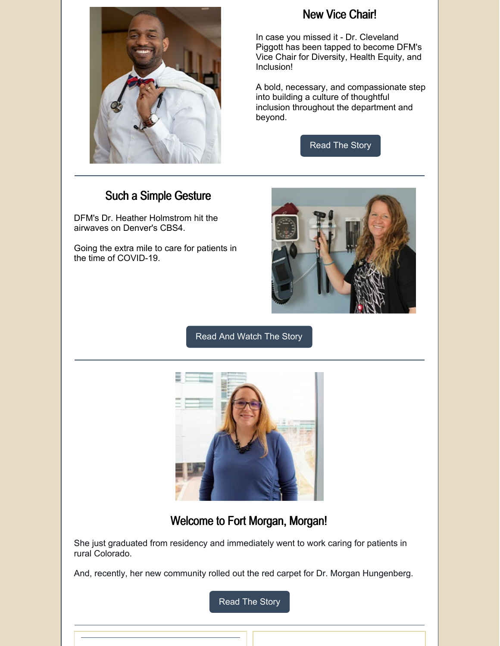

#### New Vice Chair!

In case you missed it - Dr. Cleveland Piggott has been tapped to become DFM's Vice Chair for Diversity, Health Equity, and Inclusion!

A bold, necessary, and compassionate step into building a culture of thoughtful inclusion throughout the department and beyond.

[Read](https://medschool.cuanschutz.edu/family-medicine/about/news/communication-hub/dfm-advances-justice) The Story

#### Such a Simple Gesture

DFM's Dr. Heather Holmstrom hit the airwaves on Denver's CBS4.

Going the extra mile to care for patients in the time of COVID-19.



#### Read And [Watch](https://medschool.cuanschutz.edu/family-medicine/about/news/communication-hub/going-the-extra-mile) The Story



#### Welcome to Fort Morgan, Morgan!

She just graduated from residency and immediately went to work caring for patients in rural Colorado.

And, recently, her new community rolled out the red carpet for Dr. Morgan Hungenberg.

[Read](https://medschool.cuanschutz.edu/family-medicine/about/news/communication-hub/new-doc-new-town!) The Story